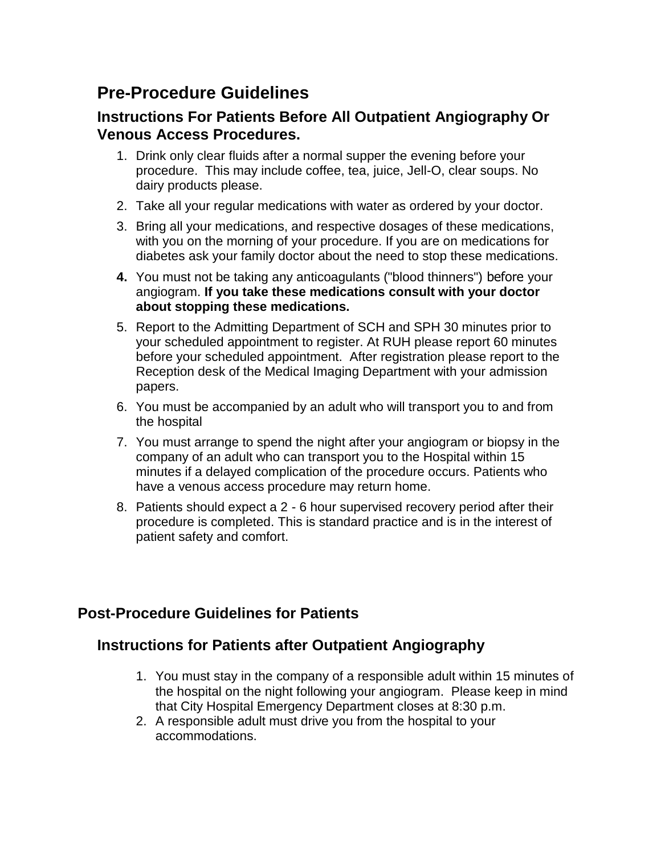## **Pre-Procedure Guidelines**

## **Instructions For Patients Before All Outpatient Angiography Or Venous Access Procedures.**

- 1. Drink only clear fluids after a normal supper the evening before your procedure. This may include coffee, tea, juice, Jell-O, clear soups. No dairy products please.
- 2. Take all your regular medications with water as ordered by your doctor.
- 3. Bring all your medications, and respective dosages of these medications, with you on the morning of your procedure. If you are on medications for diabetes ask your family doctor about the need to stop these medications.
- **4.** You must not be taking any anticoagulants ("blood thinners") before your angiogram. **If you take these medications consult with your doctor about stopping these medications.**
- 5. Report to the Admitting Department of SCH and SPH 30 minutes prior to your scheduled appointment to register. At RUH please report 60 minutes before your scheduled appointment. After registration please report to the Reception desk of the Medical Imaging Department with your admission papers.
- 6. You must be accompanied by an adult who will transport you to and from the hospital
- 7. You must arrange to spend the night after your angiogram or biopsy in the company of an adult who can transport you to the Hospital within 15 minutes if a delayed complication of the procedure occurs. Patients who have a venous access procedure may return home.
- 8. Patients should expect a 2 6 hour supervised recovery period after their procedure is completed. This is standard practice and is in the interest of patient safety and comfort.

## **Post-Procedure Guidelines for Patients**

## **Instructions for Patients after Outpatient Angiography**

- 1. You must stay in the company of a responsible adult within 15 minutes of the hospital on the night following your angiogram. Please keep in mind that City Hospital Emergency Department closes at 8:30 p.m.
- 2. A responsible adult must drive you from the hospital to your accommodations.